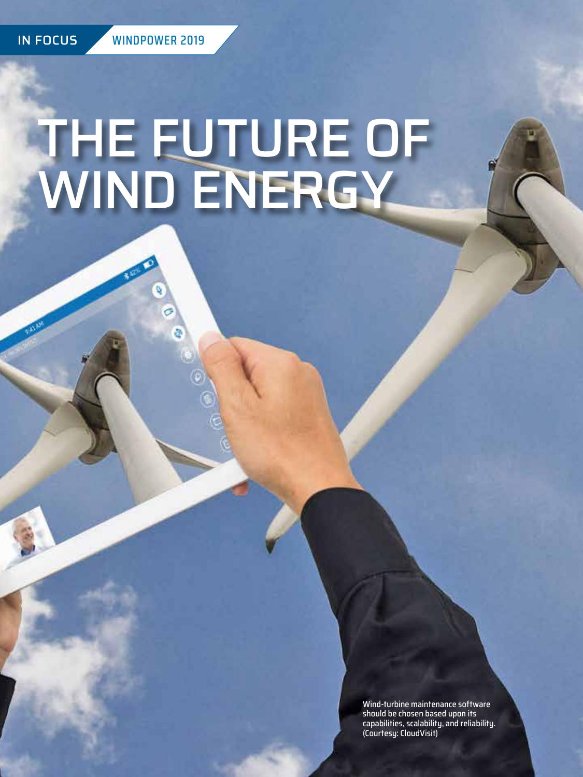# THE FUTURE OF WIND ENERGY

Wind-turbine maintenance software should be chosen based upon its capabilities, scalability, and reliability. (Courtesy: CloudVisit)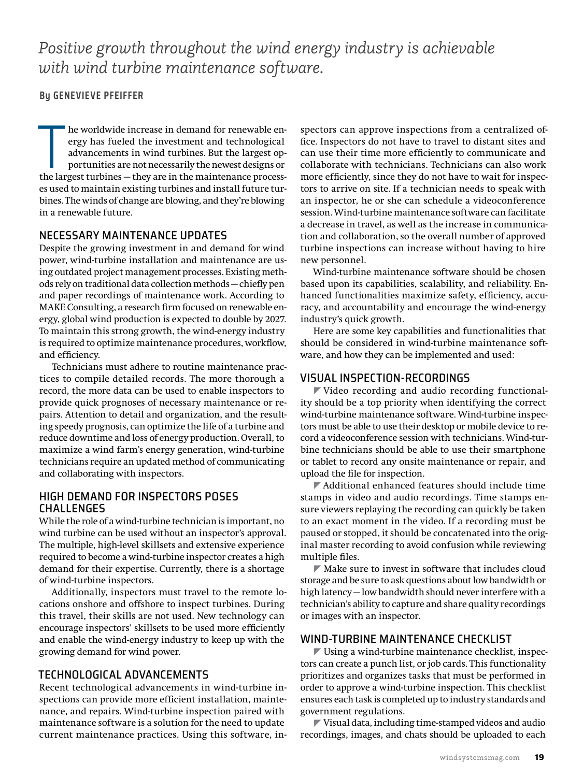*Positive growth throughout the wind energy industry is achievable with wind turbine maintenance software.*

#### **By GENEVIEVE PFEIFFER**

The worldwide increase in demand for renewable energy has fueled the investment and technological advancements in wind turbines. But the largest opportunities are not necessarily the newest designs or the largest turbines he worldwide increase in demand for renewable energy has fueled the investment and technological advancements in wind turbines. But the largest opportunities are not necessarily the newest designs or es used to maintain existing turbines and install future turbines. The winds of change are blowing, and they're blowing in a renewable future.

#### NECESSARY MAINTENANCE UPDATES

Despite the growing investment in and demand for wind power, wind-turbine installation and maintenance are using outdated project management processes. Existing methods rely on traditional data collection methods — chiefly pen and paper recordings of maintenance work. According to MAKE Consulting, a research firm focused on renewable energy, global wind production is expected to double by 2027. To maintain this strong growth, the wind-energy industry is required to optimize maintenance procedures, workflow, and efficiency.

Technicians must adhere to routine maintenance practices to compile detailed records. The more thorough a record, the more data can be used to enable inspectors to provide quick prognoses of necessary maintenance or repairs. Attention to detail and organization, and the resulting speedy prognosis, can optimize the life of a turbine and reduce downtime and loss of energy production. Overall, to maximize a wind farm's energy generation, wind-turbine technicians require an updated method of communicating and collaborating with inspectors.

#### HIGH DEMAND FOR INSPECTORS POSES CHALLENGES

While the role of a wind-turbine technician is important, no wind turbine can be used without an inspector's approval. The multiple, high-level skillsets and extensive experience required to become a wind-turbine inspector creates a high demand for their expertise. Currently, there is a shortage of wind-turbine inspectors.

Additionally, inspectors must travel to the remote locations onshore and offshore to inspect turbines. During this travel, their skills are not used. New technology can encourage inspectors' skillsets to be used more efficiently and enable the wind-energy industry to keep up with the growing demand for wind power.

#### TECHNOLOGICAL ADVANCEMENTS

Recent technological advancements in wind-turbine inspections can provide more efficient installation, maintenance, and repairs. Wind-turbine inspection paired with maintenance software is a solution for the need to update current maintenance practices. Using this software, inspectors can approve inspections from a centralized office. Inspectors do not have to travel to distant sites and can use their time more efficiently to communicate and collaborate with technicians. Technicians can also work more efficiently, since they do not have to wait for inspectors to arrive on site. If a technician needs to speak with an inspector, he or she can schedule a videoconference session. Wind-turbine maintenance software can facilitate a decrease in travel, as well as the increase in communication and collaboration, so the overall number of approved turbine inspections can increase without having to hire new personnel.

Wind-turbine maintenance software should be chosen based upon its capabilities, scalability, and reliability. Enhanced functionalities maximize safety, efficiency, accuracy, and accountability and encourage the wind-energy industry's quick growth.

Here are some key capabilities and functionalities that should be considered in wind-turbine maintenance software, and how they can be implemented and used:

#### VISUAL INSPECTION-RECORDINGS

 $\blacktriangledown$  Video recording and audio recording functionality should be a top priority when identifying the correct wind-turbine maintenance software. Wind-turbine inspectors must be able to use their desktop or mobile device to record a videoconference session with technicians. Wind-turbine technicians should be able to use their smartphone or tablet to record any onsite maintenance or repair, and upload the file for inspection.

 $\blacktriangledown$  Additional enhanced features should include time stamps in video and audio recordings. Time stamps ensure viewers replaying the recording can quickly be taken to an exact moment in the video. If a recording must be paused or stopped, it should be concatenated into the original master recording to avoid confusion while reviewing multiple files.

 $\blacktriangleright$  Make sure to invest in software that includes cloud storage and be sure to ask questions about low bandwidth or high latency — low bandwidth should never interfere with a technician's ability to capture and share quality recordings or images with an inspector.

#### WIND-TURBINE MAINTENANCE CHECKLIST

 $\blacktriangleright$  Using a wind-turbine maintenance checklist, inspectors can create a punch list, or job cards. This functionality prioritizes and organizes tasks that must be performed in order to approve a wind-turbine inspection. This checklist ensures each task is completed up to industry standards and government regulations.

 $\blacktriangleright$  Visual data, including time-stamped videos and audio recordings, images, and chats should be uploaded to each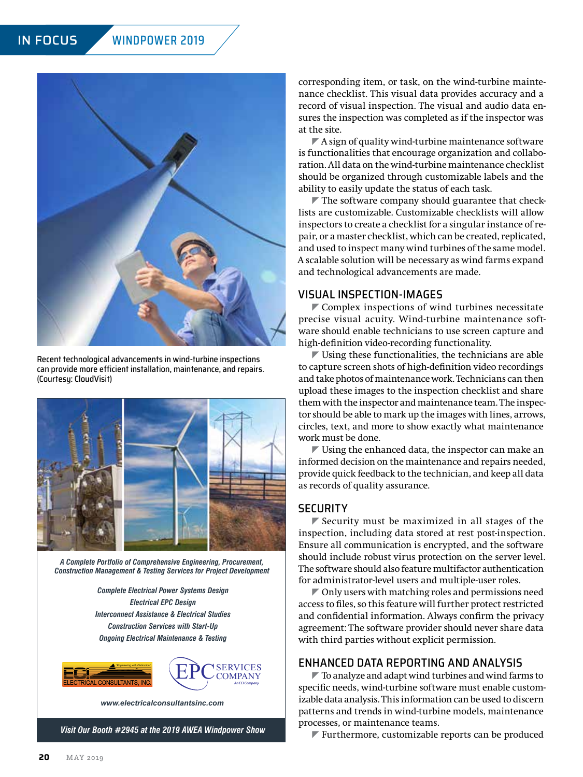

Recent technological advancements in wind-turbine inspections can provide more efficient installation, maintenance, and repairs. (Courtesy: CloudVisit)



*A Complete Portfolio of Comprehensive Engineering, Procurement, Construction Management & Testing Services for Project Development*

*Complete Electrical Power Systems Design Electrical EPC Design Interconnect Assistance & Electrical Studies Construction Services with Start-Up Ongoing Electrical Maintenance & Testing*



*[www.electricalconsultantsinc.com](http://www.electricalconsultantsinc.com)*

*Visit Our Booth #2945 at the 2019 AWEA Windpower Show*

corresponding item, or task, on the wind-turbine maintenance checklist. This visual data provides accuracy and a record of visual inspection. The visual and audio data ensures the inspection was completed as if the inspector was at the site.

 $\nabla$  A sign of quality wind-turbine maintenance software is functionalities that encourage organization and collaboration. All data on the wind-turbine maintenance checklist should be organized through customizable labels and the ability to easily update the status of each task.

 $\blacktriangledown$  The software company should guarantee that checklists are customizable. Customizable checklists will allow inspectors to create a checklist for a singular instance of repair, or a master checklist, which can be created, replicated, and used to inspect many wind turbines of the same model. A scalable solution will be necessary as wind farms expand and technological advancements are made.

#### VISUAL INSPECTION-IMAGES

 $\blacktriangleright$  Complex inspections of wind turbines necessitate precise visual acuity. Wind-turbine maintenance software should enable technicians to use screen capture and high-definition video-recording functionality.

 $\blacktriangleright$  Using these functionalities, the technicians are able to capture screen shots of high-definition video recordings and take photos of maintenance work. Technicians can then upload these images to the inspection checklist and share them with the inspector and maintenance team. The inspector should be able to mark up the images with lines, arrows, circles, text, and more to show exactly what maintenance work must be done.

 $\blacktriangleright$  Using the enhanced data, the inspector can make an informed decision on the maintenance and repairs needed, provide quick feedback to the technician, and keep all data as records of quality assurance.

#### **SECURITY**

 $\blacktriangleright$  Security must be maximized in all stages of the inspection, including data stored at rest post-inspection. Ensure all communication is encrypted, and the software should include robust virus protection on the server level. The software should also feature multifactor authentication for administrator-level users and multiple-user roles.

 $\blacktriangleright$  Only users with matching roles and permissions need access to files, so this feature will further protect restricted and confidential information. Always confirm the privacy agreement: The software provider should never share data with third parties without explicit permission.

#### ENHANCED DATA REPORTING AND ANALYSIS

 $\blacktriangledown$  To analyze and adapt wind turbines and wind farms to specific needs, wind-turbine software must enable customizable data analysis. This information can be used to discern patterns and trends in wind-turbine models, maintenance processes, or maintenance teams.

 $\blacktriangleright$  Furthermore, customizable reports can be produced